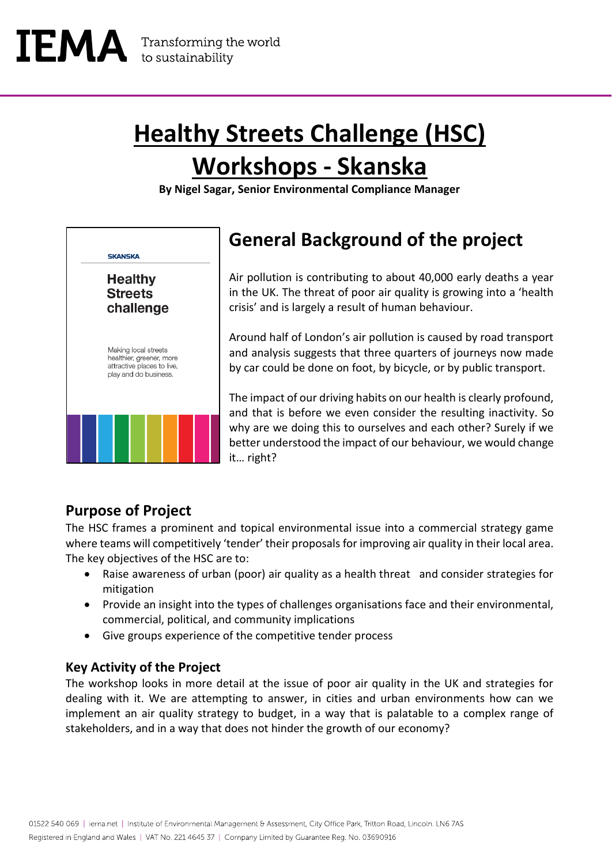## **Healthy Streets Challenge (HSC) Workshops - Skanska**

**By Nigel Sagar, Senior Environmental Compliance Manager**



### **General Background of the project**

Air pollution is contributing to about 40,000 early deaths a year in the UK. The threat of poor air quality is growing into a 'health crisis' and is largely a result of human behaviour.

Around half of London's air pollution is caused by road transport and analysis suggests that three quarters of journeys now made by car could be done on foot, by bicycle, or by public transport.

The impact of our driving habits on our health is clearly profound, and that is before we even consider the resulting inactivity. So why are we doing this to ourselves and each other? Surely if we better understood the impact of our behaviour, we would change it… right?

#### **Purpose of Project**

The HSC frames a prominent and topical environmental issue into a commercial strategy game where teams will competitively 'tender' their proposals for improving air quality in their local area. The key objectives of the HSC are to:

- Raise awareness of urban (poor) air quality as a health threat and consider strategies for mitigation
- Provide an insight into the types of challenges organisations face and their environmental, commercial, political, and community implications
- Give groups experience of the competitive tender process

#### **Key Activity of the Project**

The workshop looks in more detail at the issue of poor air quality in the UK and strategies for dealing with it. We are attempting to answer, in cities and urban environments how can we implement an air quality strategy to budget, in a way that is palatable to a complex range of stakeholders, and in a way that does not hinder the growth of our economy?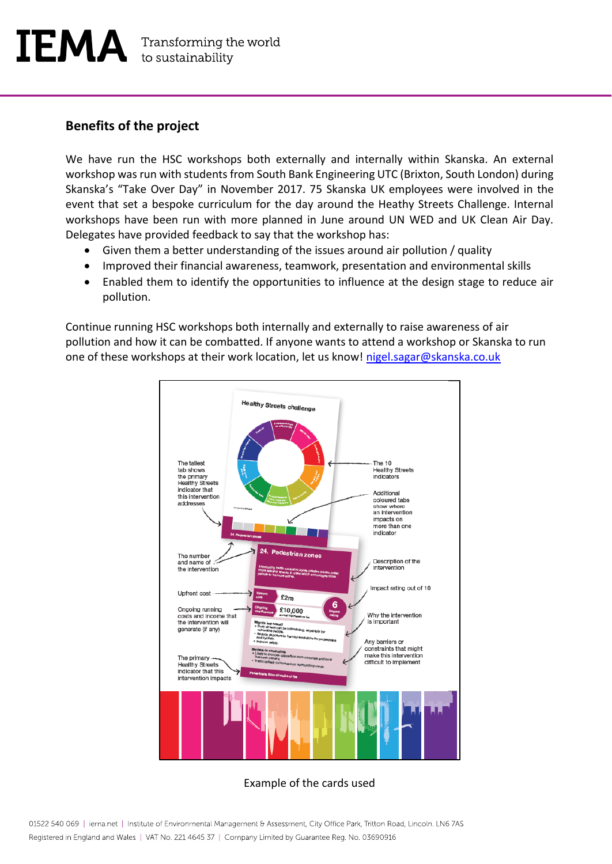#### **Benefits of the project**

We have run the HSC workshops both externally and internally within Skanska. An external workshop was run with students from South Bank Engineering UTC (Brixton, South London) during Skanska's "Take Over Day" in November 2017. 75 Skanska UK employees were involved in the event that set a bespoke curriculum for the day around the Heathy Streets Challenge. Internal workshops have been run with more planned in June around UN WED and UK Clean Air Day. Delegates have provided feedback to say that the workshop has:

- Given them a better understanding of the issues around air pollution / quality
- Improved their financial awareness, teamwork, presentation and environmental skills
- Enabled them to identify the opportunities to influence at the design stage to reduce air pollution.

Continue running HSC workshops both internally and externally to raise awareness of air pollution and how it can be combatted. If anyone wants to attend a workshop or Skanska to run one of these workshops at their work location, let us know! [nigel.sagar@skanska.co.uk](mailto:nigel.sagar@skanska.co.uk)



#### Example of the cards used